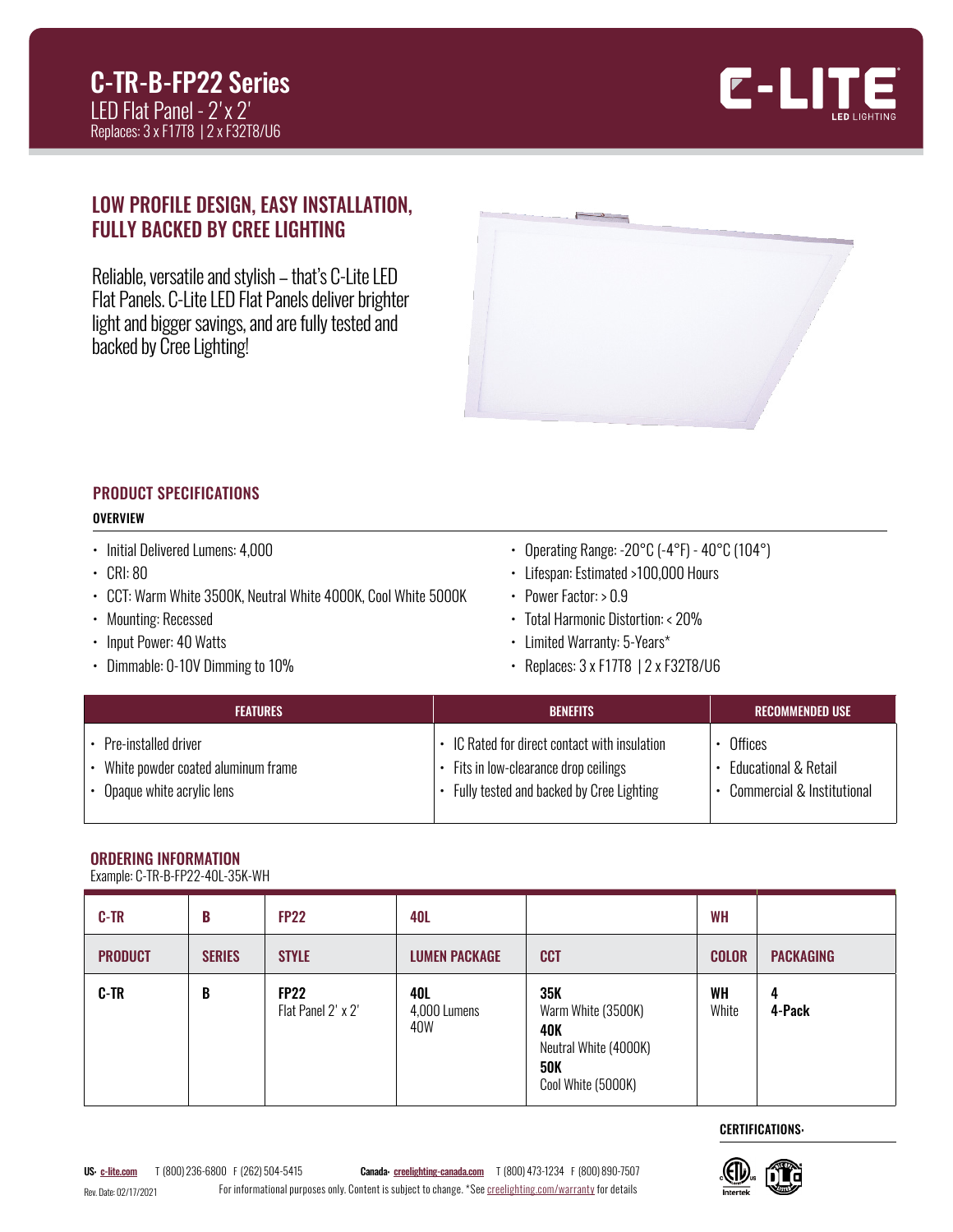

# LOW PROFILE DESIGN, EASY INSTALLATION, FULLY BACKED BY CREE LIGHTING

Reliable, versatile and stylish – that's C-Lite LED Flat Panels. C-Lite LED Flat Panels deliver brighter light and bigger savings, and are fully tested and backed by Cree Lighting!



#### PRODUCT SPECIFICATIONS **OVERVIEW**

- 
- Initial Delivered Lumens: 4,000
- CRI: 80
- CCT: Warm White 3500K, Neutral White 4000K, Cool White 5000K
- Mounting: Recessed
- Input Power: 40 Watts
- Dimmable: 0-10V Dimming to 10%
- Operating Range: -20°C (-4°F) 40°C (104°)
- Lifespan: Estimated >100,000 Hours
- Power Factor: > 0.9
- Total Harmonic Distortion: < 20%
- Limited Warranty: 5-Years\*
- Replaces: 3 x F17T8 | 2 x F32T8/U6

| <b>FEATURES</b>                    | <b>BENEFITS</b>                             | : RECOMMENDED USE '          |
|------------------------------------|---------------------------------------------|------------------------------|
| Pre-installed driver               | IC Rated for direct contact with insulation | Offices                      |
| White powder coated aluminum frame | Fits in low-clearance drop ceilings         | Educational & Retail         |
| Opaque white acrylic lens          | Fully tested and backed by Cree Lighting    | • Commercial & Institutional |

# ORDERING INFORMATION

Example: C-TR-B-FP22-40L-35K-WH

| <b>C-TR</b>    | B             | <b>FP22</b>                       | 40L                        |                                                                                                      | <b>WH</b>    |                  |
|----------------|---------------|-----------------------------------|----------------------------|------------------------------------------------------------------------------------------------------|--------------|------------------|
| <b>PRODUCT</b> | <b>SERIES</b> | <b>STYLE</b>                      | <b>LUMEN PACKAGE</b>       | <b>CCT</b>                                                                                           | <b>COLOR</b> | <b>PACKAGING</b> |
| <b>C-TR</b>    | B             | <b>FP22</b><br>Flat Panel 2' x 2' | 40L<br>4,000 Lumens<br>40W | 35K<br>Warm White (3500K)<br><b>40K</b><br>Neutral White (4000K)<br><b>50K</b><br>Cool White (5000K) | WH<br>White  | 4<br>4-Pack      |

CERTIFICATIONS:

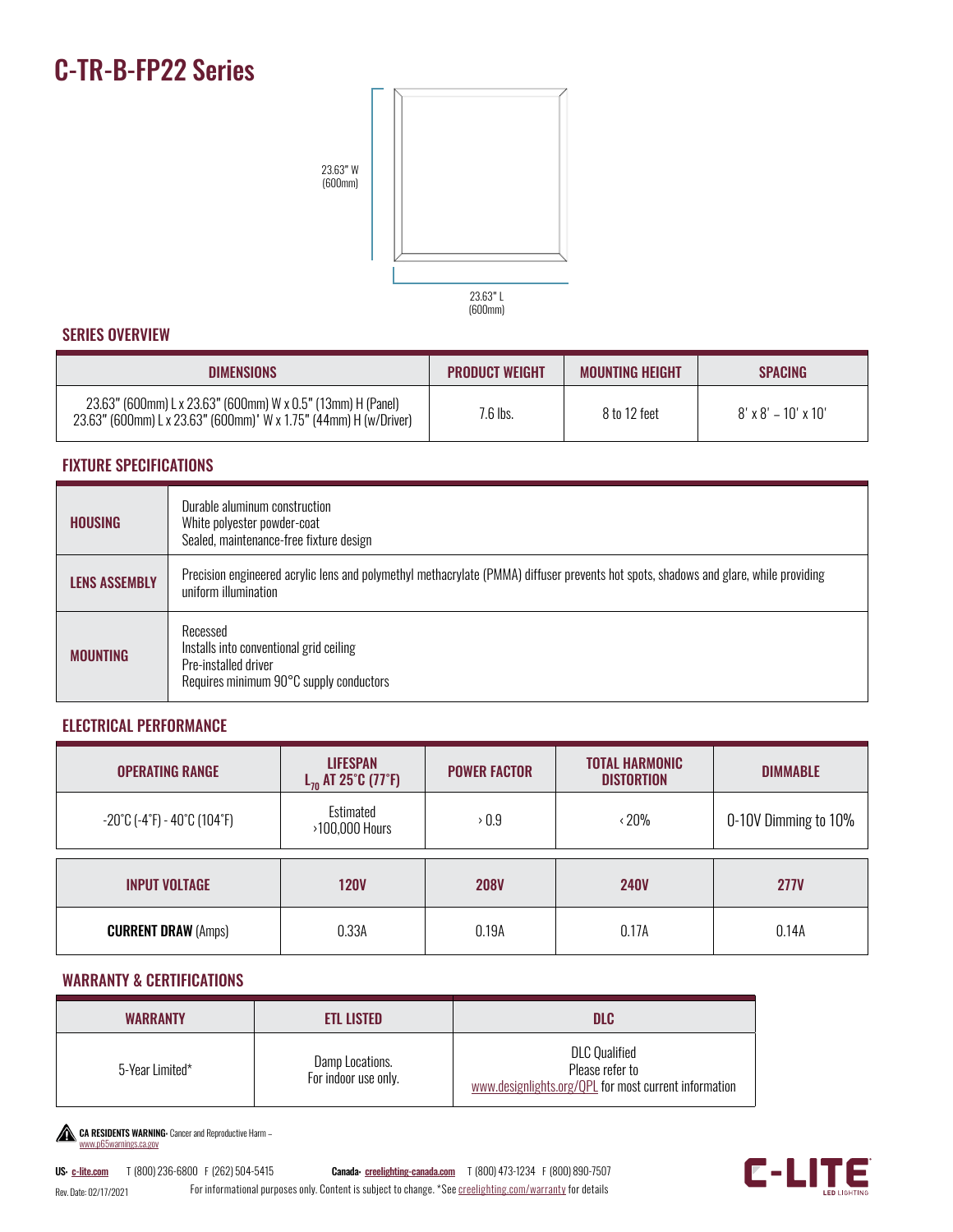# C-TR-B-FP22 Series



## SERIES OVERVIEW

| <b>DIMENSIONS</b>                                                                                                               | <b>PRODUCT WEIGHT</b> | <b>MOUNTING HEIGHT</b> | <b>SPACING</b>                  |
|---------------------------------------------------------------------------------------------------------------------------------|-----------------------|------------------------|---------------------------------|
| 23.63" (600mm) L x 23.63" (600mm) W x 0.5" (13mm) H (Panel)<br>23.63" (600mm) L x 23.63" (600mm)' W x 1.75" (44mm) H (w/Driver) | 7.6 lbs.              | 8 to 12 feet           | $8' \times 8' - 10' \times 10'$ |

#### FIXTURE SPECIFICATIONS

| <b>HOUSING</b>       | Durable aluminum construction<br>White polyester powder-coat<br>Sealed, maintenance-free fixture design                                                      |
|----------------------|--------------------------------------------------------------------------------------------------------------------------------------------------------------|
| <b>LENS ASSEMBLY</b> | Precision engineered acrylic lens and polymethyl methacrylate (PMMA) diffuser prevents hot spots, shadows and glare, while providing<br>uniform illumination |
| <b>MOUNTING</b>      | Recessed<br>Installs into conventional grid ceiling<br>Pre-installed driver<br>Requires minimum 90°C supply conductors                                       |

### ELECTRICAL PERFORMANCE

| <b>OPERATING RANGE</b>                                                 | <b>LIFESPAN</b><br>$L_{70}$ AT 25°C (77°F) | <b>POWER FACTOR</b> | <b>TOTAL HARMONIC</b><br><b>DISTORTION</b> | <b>DIMMABLE</b>      |
|------------------------------------------------------------------------|--------------------------------------------|---------------------|--------------------------------------------|----------------------|
| $-20^{\circ}$ C (-4 $^{\circ}$ F) - 40 $^{\circ}$ C (104 $^{\circ}$ F) | Estimated<br>>100,000 Hours                | $\rightarrow 0.9$   | $\cdot$ 20%                                | 0-10V Dimming to 10% |
| <b>INPUT VOLTAGE</b>                                                   | <b>120V</b>                                | <b>208V</b>         | <b>240V</b>                                | <b>277V</b>          |
| <b>CURRENT DRAW (Amps)</b>                                             | 0.33A                                      | 0.19A               | 0.17A                                      | 0.14A                |

### WARRANTY & CERTIFICATIONS

| <b>WARRANTY</b> | <b>ETL LISTED</b>                       | DLC                                                                                              |
|-----------------|-----------------------------------------|--------------------------------------------------------------------------------------------------|
| 5-Year Limited* | Damp Locations.<br>For indoor use only. | <b>DLC</b> Qualified<br>Please refer to<br>www.designlights.org/QPL for most current information |

CA RESIDENTS WARNING Cancer and Reproductive Harm [www.p65warnings.ca.gov](http://www.p65warnings.ca.gov)